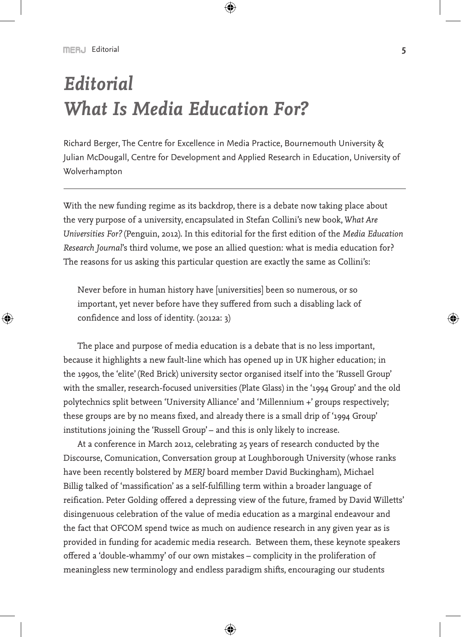# *Editorial What Is Media Education For?*

Richard Berger, The Centre for Excellence in Media Practice, Bournemouth University & Julian McDougall, Centre for Development and Applied Research in Education, University of Wolverhampton

With the new funding regime as its backdrop, there is a debate now taking place about the very purpose of a university, encapsulated in Stefan Collini's new book, *What Are Universities For?* (Penguin, 2012). In this editorial for the first edition of the *Media Education Research Journal*'s third volume, we pose an allied question: what is media education for? The reasons for us asking this particular question are exactly the same as Collini's:

Never before in human history have [universities] been so numerous, or so important, yet never before have they suffered from such a disabling lack of confidence and loss of identity. (2012a: 3)

The place and purpose of media education is a debate that is no less important, because it highlights a new fault-line which has opened up in UK higher education; in the 1990s, the 'elite' (Red Brick) university sector organised itself into the 'Russell Group' with the smaller, research-focused universities (Plate Glass) in the '1994 Group' and the old polytechnics split between 'University Alliance' and 'Millennium +' groups respectively; these groups are by no means fixed, and already there is a small drip of '1994 Group' institutions joining the 'Russell Group' – and this is only likely to increase.

At a conference in March 2012, celebrating 25 years of research conducted by the Discourse, Comunication, Conversation group at Loughborough University (whose ranks have been recently bolstered by *MERJ* board member David Buckingham), Michael Billig talked of 'massification' as a self-fulfilling term within a broader language of reification. Peter Golding offered a depressing view of the future, framed by David Willetts' disingenuous celebration of the value of media education as a marginal endeavour and the fact that OFCOM spend twice as much on audience research in any given year as is provided in funding for academic media research. Between them, these keynote speakers offered a 'double-whammy' of our own mistakes – complicity in the proliferation of meaningless new terminology and endless paradigm shifts, encouraging our students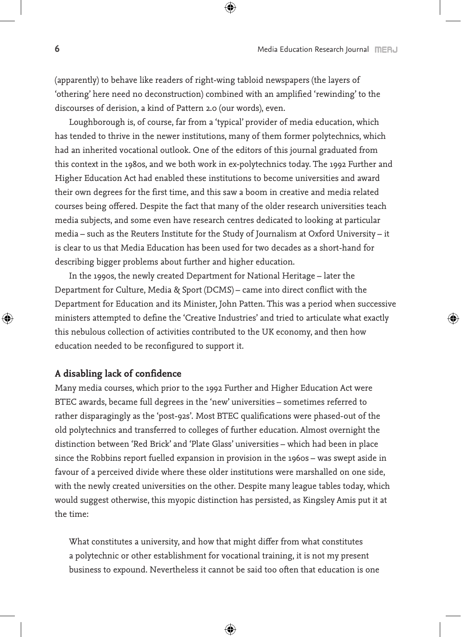(apparently) to behave like readers of right-wing tabloid newspapers (the layers of 'othering' here need no deconstruction) combined with an amplified 'rewinding' to the discourses of derision, a kind of Pattern 2.0 (our words), even.

Loughborough is, of course, far from a 'typical' provider of media education, which has tended to thrive in the newer institutions, many of them former polytechnics, which had an inherited vocational outlook. One of the editors of this journal graduated from this context in the 1980s, and we both work in ex-polytechnics today. The 1992 Further and Higher Education Act had enabled these institutions to become universities and award their own degrees for the first time, and this saw a boom in creative and media related courses being offered. Despite the fact that many of the older research universities teach media subjects, and some even have research centres dedicated to looking at particular media – such as the Reuters Institute for the Study of Journalism at Oxford University – it is clear to us that Media Education has been used for two decades as a short-hand for describing bigger problems about further and higher education.

In the 1990s, the newly created Department for National Heritage – later the Department for Culture, Media & Sport (DCMS) – came into direct conflict with the Department for Education and its Minister, John Patten. This was a period when successive ministers attempted to define the 'Creative Industries' and tried to articulate what exactly this nebulous collection of activities contributed to the UK economy, and then how education needed to be reconfigured to support it.

### **A disabling lack of confidence**

Many media courses, which prior to the 1992 Further and Higher Education Act were BTEC awards, became full degrees in the 'new' universities – sometimes referred to rather disparagingly as the 'post-92s'. Most BTEC qualifications were phased-out of the old polytechnics and transferred to colleges of further education. Almost overnight the distinction between 'Red Brick' and 'Plate Glass' universities – which had been in place since the Robbins report fuelled expansion in provision in the 1960s – was swept aside in favour of a perceived divide where these older institutions were marshalled on one side, with the newly created universities on the other. Despite many league tables today, which would suggest otherwise, this myopic distinction has persisted, as Kingsley Amis put it at the time:

What constitutes a university, and how that might differ from what constitutes a polytechnic or other establishment for vocational training, it is not my present business to expound. Nevertheless it cannot be said too often that education is one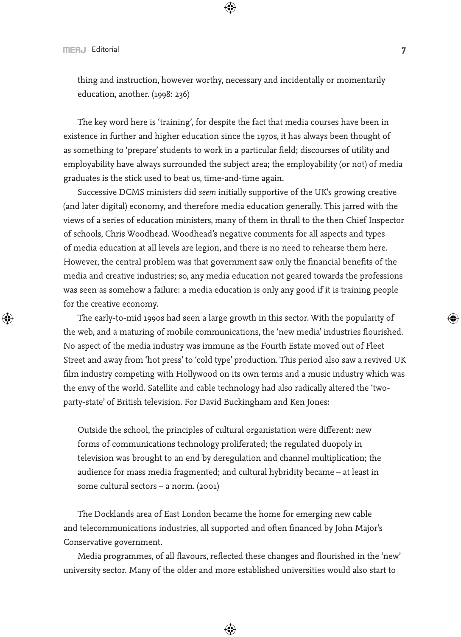thing and instruction, however worthy, necessary and incidentally or momentarily education, another. (1998: 236)

The key word here is 'training', for despite the fact that media courses have been in existence in further and higher education since the 1970s, it has always been thought of as something to 'prepare' students to work in a particular field; discourses of utility and employability have always surrounded the subject area; the employability (or not) of media graduates is the stick used to beat us, time-and-time again.

Successive DCMS ministers did *seem* initially supportive of the UK's growing creative (and later digital) economy, and therefore media education generally. This jarred with the views of a series of education ministers, many of them in thrall to the then Chief Inspector of schools, Chris Woodhead. Woodhead's negative comments for all aspects and types of media education at all levels are legion, and there is no need to rehearse them here. However, the central problem was that government saw only the financial benefits of the media and creative industries; so, any media education not geared towards the professions was seen as somehow a failure: a media education is only any good if it is training people for the creative economy.

The early-to-mid 1990s had seen a large growth in this sector. With the popularity of the web, and a maturing of mobile communications, the 'new media' industries flourished. No aspect of the media industry was immune as the Fourth Estate moved out of Fleet Street and away from 'hot press' to 'cold type' production. This period also saw a revived UK film industry competing with Hollywood on its own terms and a music industry which was the envy of the world. Satellite and cable technology had also radically altered the 'twoparty-state' of British television. For David Buckingham and Ken Jones:

Outside the school, the principles of cultural organistation were different: new forms of communications technology proliferated; the regulated duopoly in television was brought to an end by deregulation and channel multiplication; the audience for mass media fragmented; and cultural hybridity became – at least in some cultural sectors – a norm. (2001)

The Docklands area of East London became the home for emerging new cable and telecommunications industries, all supported and often financed by John Major's Conservative government.

Media programmes, of all flavours, reflected these changes and flourished in the 'new' university sector. Many of the older and more established universities would also start to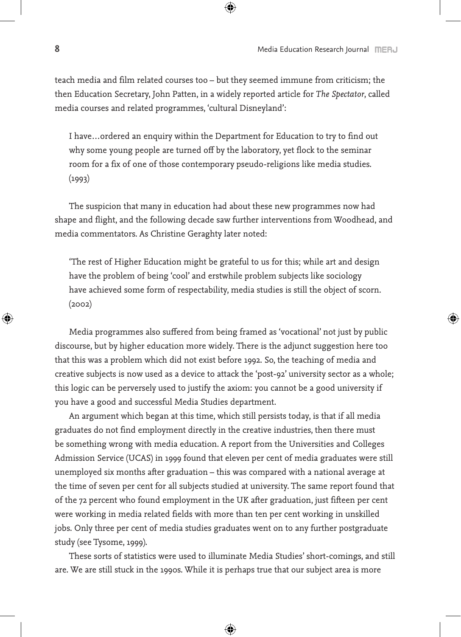teach media and film related courses too – but they seemed immune from criticism; the then Education Secretary, John Patten, in a widely reported article for *The Spectator*, called media courses and related programmes, 'cultural Disneyland':

I have…ordered an enquiry within the Department for Education to try to find out why some young people are turned off by the laboratory, yet flock to the seminar room for a fix of one of those contemporary pseudo-religions like media studies.  $(1993)$ 

The suspicion that many in education had about these new programmes now had shape and flight, and the following decade saw further interventions from Woodhead, and media commentators. As Christine Geraghty later noted:

'The rest of Higher Education might be grateful to us for this; while art and design have the problem of being 'cool' and erstwhile problem subjects like sociology have achieved some form of respectability, media studies is still the object of scorn. (2002)

Media programmes also suffered from being framed as 'vocational' not just by public discourse, but by higher education more widely. There is the adjunct suggestion here too that this was a problem which did not exist before 1992. So, the teaching of media and creative subjects is now used as a device to attack the 'post-92' university sector as a whole; this logic can be perversely used to justify the axiom: you cannot be a good university if you have a good and successful Media Studies department.

An argument which began at this time, which still persists today, is that if all media graduates do not find employment directly in the creative industries, then there must be something wrong with media education. A report from the Universities and Colleges Admission Service (UCAS) in 1999 found that eleven per cent of media graduates were still unemployed six months after graduation – this was compared with a national average at the time of seven per cent for all subjects studied at university. The same report found that of the 72 percent who found employment in the UK after graduation, just fifteen per cent were working in media related fields with more than ten per cent working in unskilled jobs. Only three per cent of media studies graduates went on to any further postgraduate study (see Tysome, 1999).

These sorts of statistics were used to illuminate Media Studies' short-comings, and still are. We are still stuck in the 1990s. While it is perhaps true that our subject area is more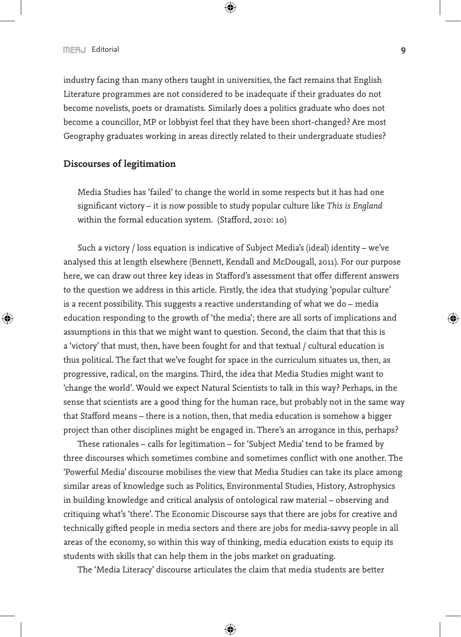industry facing than many others taught in universities, the fact remains that English Literature programmes are not considered to be inadequate if their graduates do not become novelists, poets or dramatists. Similarly does a politics graduate who does not become a councillor, MP or lobbyist feel that they have been short-changed? Are most Geography graduates working in areas directly related to their undergraduate studies?

#### **Discourses of legitimation**

Media Studies has 'failed' to change the world in some respects but it has had one significant victory – it is now possible to study popular culture like *This is England* within the formal education system. (Stafford, 2010: 10)

Such a victory / loss equation is indicative of Subject Media's (ideal) identity – we've analysed this at length elsewhere (Bennett, Kendall and McDougall, 2011). For our purpose here, we can draw out three key ideas in Stafford's assessment that offer different answers to the question we address in this article. Firstly, the idea that studying 'popular culture' is a recent possibility. This suggests a reactive understanding of what we do – media education responding to the growth of 'the media'; there are all sorts of implications and assumptions in this that we might want to question. Second, the claim that that this is a 'victory' that must, then, have been fought for and that textual / cultural education is thus political. The fact that we've fought for space in the curriculum situates us, then, as progressive, radical, on the margins. Third, the idea that Media Studies might want to 'change the world'. Would we expect Natural Scientists to talk in this way? Perhaps, in the sense that scientists are a good thing for the human race, but probably not in the same way that Stafford means – there is a notion, then, that media education is somehow a bigger project than other disciplines might be engaged in. There's an arrogance in this, perhaps?

These rationales – calls for legitimation – for 'Subject Media' tend to be framed by three discourses which sometimes combine and sometimes conflict with one another. The 'Powerful Media' discourse mobilises the view that Media Studies can take its place among similar areas of knowledge such as Politics, Environmental Studies, History, Astrophysics in building knowledge and critical analysis of ontological raw material – observing and critiquing what's 'there'. The Economic Discourse says that there are jobs for creative and technically gifted people in media sectors and there are jobs for media-savvy people in all areas of the economy, so within this way of thinking, media education exists to equip its students with skills that can help them in the jobs market on graduating.

The 'Media Literacy' discourse articulates the claim that media students are better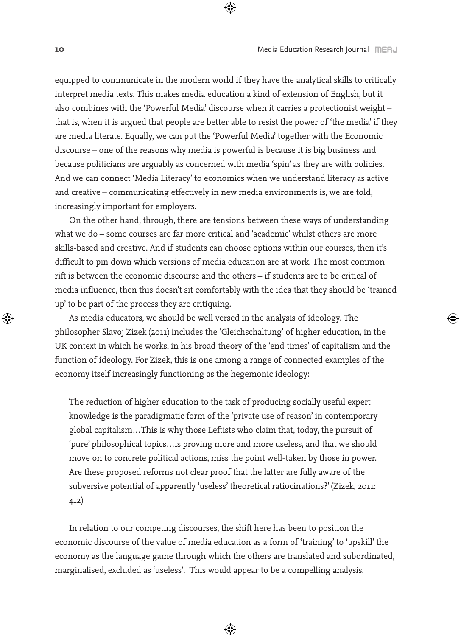equipped to communicate in the modern world if they have the analytical skills to critically interpret media texts. This makes media education a kind of extension of English, but it also combines with the 'Powerful Media' discourse when it carries a protectionist weight – that is, when it is argued that people are better able to resist the power of 'the media' if they are media literate. Equally, we can put the 'Powerful Media' together with the Economic discourse – one of the reasons why media is powerful is because it is big business and because politicians are arguably as concerned with media 'spin' as they are with policies. And we can connect 'Media Literacy' to economics when we understand literacy as active and creative – communicating effectively in new media environments is, we are told, increasingly important for employers.

On the other hand, through, there are tensions between these ways of understanding what we do – some courses are far more critical and 'academic' whilst others are more skills-based and creative. And if students can choose options within our courses, then it's difficult to pin down which versions of media education are at work. The most common rift is between the economic discourse and the others – if students are to be critical of media influence, then this doesn't sit comfortably with the idea that they should be 'trained up' to be part of the process they are critiquing.

As media educators, we should be well versed in the analysis of ideology. The philosopher Slavoj Zizek (2011) includes the 'Gleichschaltung' of higher education, in the UK context in which he works, in his broad theory of the 'end times' of capitalism and the function of ideology. For Zizek, this is one among a range of connected examples of the economy itself increasingly functioning as the hegemonic ideology:

The reduction of higher education to the task of producing socially useful expert knowledge is the paradigmatic form of the 'private use of reason' in contemporary global capitalism…This is why those Leftists who claim that, today, the pursuit of 'pure' philosophical topics…is proving more and more useless, and that we should move on to concrete political actions, miss the point well-taken by those in power. Are these proposed reforms not clear proof that the latter are fully aware of the subversive potential of apparently 'useless' theoretical ratiocinations?' (Zizek, 2011: 412)

In relation to our competing discourses, the shift here has been to position the economic discourse of the value of media education as a form of 'training' to 'upskill' the economy as the language game through which the others are translated and subordinated, marginalised, excluded as 'useless'. This would appear to be a compelling analysis.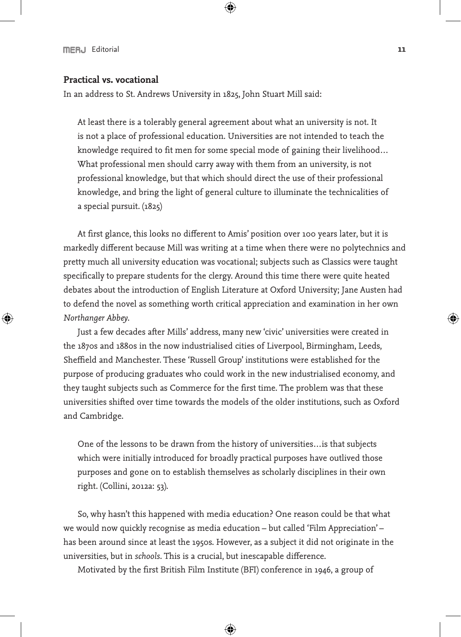#### **Practical vs. vocational**

In an address to St. Andrews University in 1825, John Stuart Mill said:

At least there is a tolerably general agreement about what an university is not. It is not a place of professional education. Universities are not intended to teach the knowledge required to fit men for some special mode of gaining their livelihood… What professional men should carry away with them from an university, is not professional knowledge, but that which should direct the use of their professional knowledge, and bring the light of general culture to illuminate the technicalities of a special pursuit. (1825)

At first glance, this looks no different to Amis' position over 100 years later, but it is markedly different because Mill was writing at a time when there were no polytechnics and pretty much all university education was vocational; subjects such as Classics were taught specifically to prepare students for the clergy. Around this time there were quite heated debates about the introduction of English Literature at Oxford University; Jane Austen had to defend the novel as something worth critical appreciation and examination in her own *Northanger Abbey*.

Just a few decades after Mills' address, many new 'civic' universities were created in the 1870s and 1880s in the now industrialised cities of Liverpool, Birmingham, Leeds, Sheffield and Manchester. These 'Russell Group' institutions were established for the purpose of producing graduates who could work in the new industrialised economy, and they taught subjects such as Commerce for the first time. The problem was that these universities shifted over time towards the models of the older institutions, such as Oxford and Cambridge.

One of the lessons to be drawn from the history of universities…is that subjects which were initially introduced for broadly practical purposes have outlived those purposes and gone on to establish themselves as scholarly disciplines in their own right. (Collini, 2012a: 53).

So, why hasn't this happened with media education? One reason could be that what we would now quickly recognise as media education – but called 'Film Appreciation' – has been around since at least the 1950s. However, as a subject it did not originate in the universities, but in *schools*. This is a crucial, but inescapable difference.

Motivated by the first British Film Institute (BFI) conference in 1946, a group of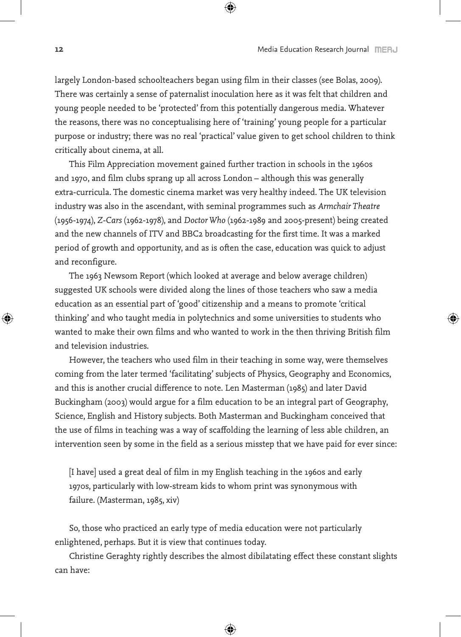largely London-based schoolteachers began using film in their classes (see Bolas, 2009). There was certainly a sense of paternalist inoculation here as it was felt that children and young people needed to be 'protected' from this potentially dangerous media. Whatever the reasons, there was no conceptualising here of 'training' young people for a particular purpose or industry; there was no real 'practical' value given to get school children to think critically about cinema, at all.

This Film Appreciation movement gained further traction in schools in the 1960s and 1970, and film clubs sprang up all across London – although this was generally extra-curricula. The domestic cinema market was very healthy indeed. The UK television industry was also in the ascendant, with seminal programmes such as *Armchair Theatre* (1956-1974), *Z-Cars* (1962-1978), and *Doctor Who* (1962-1989 and 2005-present) being created and the new channels of ITV and BBC2 broadcasting for the first time. It was a marked period of growth and opportunity, and as is often the case, education was quick to adjust and reconfigure.

The 1963 Newsom Report (which looked at average and below average children) suggested UK schools were divided along the lines of those teachers who saw a media education as an essential part of 'good' citizenship and a means to promote 'critical thinking' and who taught media in polytechnics and some universities to students who wanted to make their own films and who wanted to work in the then thriving British film and television industries.

However, the teachers who used film in their teaching in some way, were themselves coming from the later termed 'facilitating' subjects of Physics, Geography and Economics, and this is another crucial difference to note. Len Masterman (1985) and later David Buckingham (2003) would argue for a film education to be an integral part of Geography, Science, English and History subjects. Both Masterman and Buckingham conceived that the use of films in teaching was a way of scaffolding the learning of less able children, an intervention seen by some in the field as a serious misstep that we have paid for ever since:

[I have] used a great deal of film in my English teaching in the 1960s and early 1970s, particularly with low-stream kids to whom print was synonymous with failure. (Masterman, 1985, xiv)

So, those who practiced an early type of media education were not particularly enlightened, perhaps. But it is view that continues today.

Christine Geraghty rightly describes the almost dibilatating effect these constant slights can have: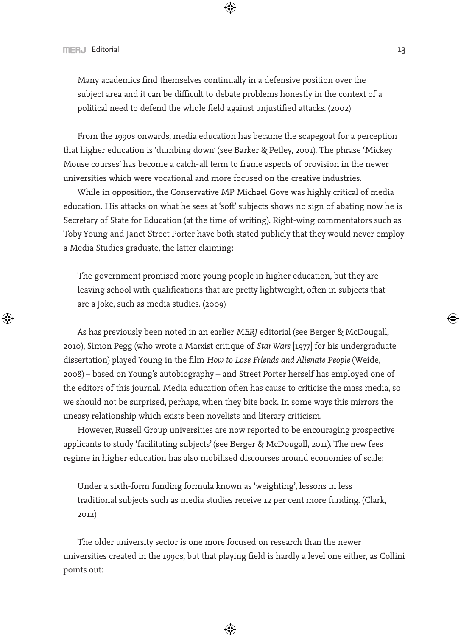Many academics find themselves continually in a defensive position over the subject area and it can be difficult to debate problems honestly in the context of a political need to defend the whole field against unjustified attacks. (2002)

From the 1990s onwards, media education has became the scapegoat for a perception that higher education is 'dumbing down' (see Barker & Petley, 2001). The phrase 'Mickey Mouse courses' has become a catch-all term to frame aspects of provision in the newer universities which were vocational and more focused on the creative industries.

While in opposition, the Conservative MP Michael Gove was highly critical of media education. His attacks on what he sees at 'soft' subjects shows no sign of abating now he is Secretary of State for Education (at the time of writing). Right-wing commentators such as Toby Young and Janet Street Porter have both stated publicly that they would never employ a Media Studies graduate, the latter claiming:

The government promised more young people in higher education, but they are leaving school with qualifications that are pretty lightweight, often in subjects that are a joke, such as media studies. (2009)

As has previously been noted in an earlier *MERJ* editorial (see Berger & McDougall, 2010), Simon Pegg (who wrote a Marxist critique of *Star Wars* [1977] for his undergraduate dissertation) played Young in the film *How to Lose Friends and Alienate People* (Weide, 2008) – based on Young's autobiography – and Street Porter herself has employed one of the editors of this journal. Media education often has cause to criticise the mass media, so we should not be surprised, perhaps, when they bite back. In some ways this mirrors the uneasy relationship which exists been novelists and literary criticism.

However, Russell Group universities are now reported to be encouraging prospective applicants to study 'facilitating subjects' (see Berger & McDougall, 2011). The new fees regime in higher education has also mobilised discourses around economies of scale:

Under a sixth-form funding formula known as 'weighting', lessons in less traditional subjects such as media studies receive 12 per cent more funding. (Clark, 2012)

The older university sector is one more focused on research than the newer universities created in the 1990s, but that playing field is hardly a level one either, as Collini points out: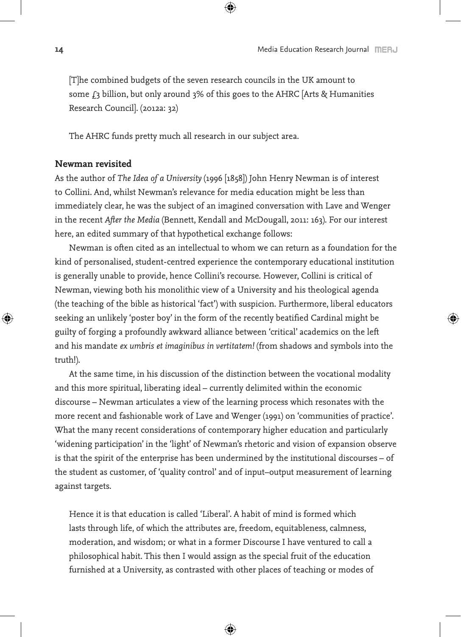[T]he combined budgets of the seven research councils in the UK amount to some  $f_3$  billion, but only around  $3\%$  of this goes to the AHRC [Arts & Humanities Research Council]. (2012a: 32)

The AHRC funds pretty much all research in our subject area.

#### **Newman revisited**

As the author of *The Idea of a University* (1996 [1858]) John Henry Newman is of interest to Collini. And, whilst Newman's relevance for media education might be less than immediately clear, he was the subject of an imagined conversation with Lave and Wenger in the recent *After the Media* (Bennett, Kendall and McDougall, 2011: 163). For our interest here, an edited summary of that hypothetical exchange follows:

Newman is often cited as an intellectual to whom we can return as a foundation for the kind of personalised, student-centred experience the contemporary educational institution is generally unable to provide, hence Collini's recourse. However, Collini is critical of Newman, viewing both his monolithic view of a University and his theological agenda (the teaching of the bible as historical 'fact') with suspicion. Furthermore, liberal educators seeking an unlikely 'poster boy' in the form of the recently beatified Cardinal might be guilty of forging a profoundly awkward alliance between 'critical' academics on the left and his mandate *ex umbris et imaginibus in vertitatem!* (from shadows and symbols into the truth!).

At the same time, in his discussion of the distinction between the vocational modality and this more spiritual, liberating ideal – currently delimited within the economic discourse – Newman articulates a view of the learning process which resonates with the more recent and fashionable work of Lave and Wenger (1991) on 'communities of practice'. What the many recent considerations of contemporary higher education and particularly 'widening participation' in the 'light' of Newman's rhetoric and vision of expansion observe is that the spirit of the enterprise has been undermined by the institutional discourses – of the student as customer, of 'quality control' and of input–output measurement of learning against targets.

Hence it is that education is called 'Liberal'. A habit of mind is formed which lasts through life, of which the attributes are, freedom, equitableness, calmness, moderation, and wisdom; or what in a former Discourse I have ventured to call a philosophical habit. This then I would assign as the special fruit of the education furnished at a University, as contrasted with other places of teaching or modes of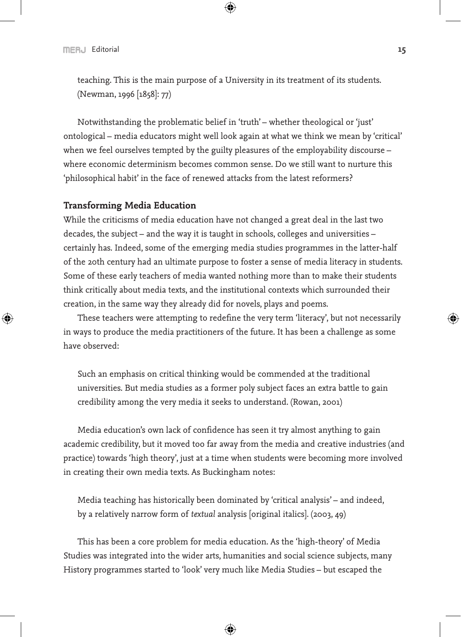teaching. This is the main purpose of a University in its treatment of its students. (Newman, 1996 [1858]: 77)

Notwithstanding the problematic belief in 'truth' – whether theological or 'just' ontological – media educators might well look again at what we think we mean by 'critical' when we feel ourselves tempted by the guilty pleasures of the employability discourse – where economic determinism becomes common sense. Do we still want to nurture this 'philosophical habit' in the face of renewed attacks from the latest reformers?

#### **Transforming Media Education**

While the criticisms of media education have not changed a great deal in the last two decades, the subject – and the way it is taught in schools, colleges and universities – certainly has. Indeed, some of the emerging media studies programmes in the latter-half of the 20th century had an ultimate purpose to foster a sense of media literacy in students. Some of these early teachers of media wanted nothing more than to make their students think critically about media texts, and the institutional contexts which surrounded their creation, in the same way they already did for novels, plays and poems.

These teachers were attempting to redefine the very term 'literacy', but not necessarily in ways to produce the media practitioners of the future. It has been a challenge as some have observed:

Such an emphasis on critical thinking would be commended at the traditional universities. But media studies as a former poly subject faces an extra battle to gain credibility among the very media it seeks to understand. (Rowan, 2001)

Media education's own lack of confidence has seen it try almost anything to gain academic credibility, but it moved too far away from the media and creative industries (and practice) towards 'high theory', just at a time when students were becoming more involved in creating their own media texts. As Buckingham notes:

Media teaching has historically been dominated by 'critical analysis' – and indeed, by a relatively narrow form of *textual* analysis [original italics]. (2003, 49)

This has been a core problem for media education. As the 'high-theory' of Media Studies was integrated into the wider arts, humanities and social science subjects, many History programmes started to 'look' very much like Media Studies – but escaped the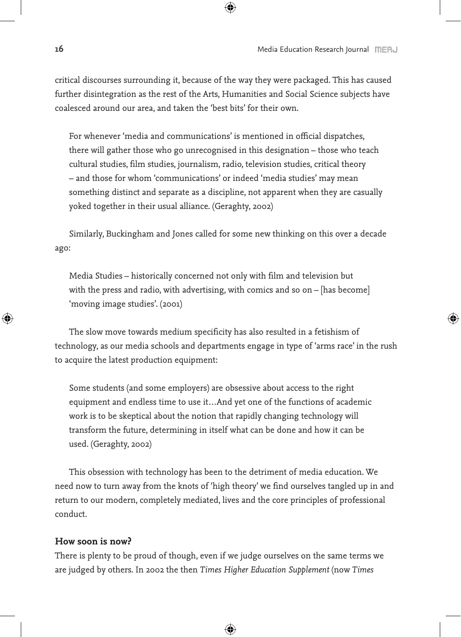critical discourses surrounding it, because of the way they were packaged. This has caused further disintegration as the rest of the Arts, Humanities and Social Science subjects have coalesced around our area, and taken the 'best bits' for their own.

For whenever 'media and communications' is mentioned in official dispatches, there will gather those who go unrecognised in this designation – those who teach cultural studies, film studies, journalism, radio, television studies, critical theory – and those for whom 'communications' or indeed 'media studies' may mean something distinct and separate as a discipline, not apparent when they are casually yoked together in their usual alliance. (Geraghty, 2002)

Similarly, Buckingham and Jones called for some new thinking on this over a decade ago:

Media Studies – historically concerned not only with film and television but with the press and radio, with advertising, with comics and so on – [has become] 'moving image studies'. (2001)

The slow move towards medium specificity has also resulted in a fetishism of technology, as our media schools and departments engage in type of 'arms race' in the rush to acquire the latest production equipment:

Some students (and some employers) are obsessive about access to the right equipment and endless time to use it…And yet one of the functions of academic work is to be skeptical about the notion that rapidly changing technology will transform the future, determining in itself what can be done and how it can be used. (Geraghty, 2002)

This obsession with technology has been to the detriment of media education. We need now to turn away from the knots of 'high theory' we find ourselves tangled up in and return to our modern, completely mediated, lives and the core principles of professional conduct.

#### **How soon is now?**

There is plenty to be proud of though, even if we judge ourselves on the same terms we are judged by others. In 2002 the then *Times Higher Education Supplement* (now *Times*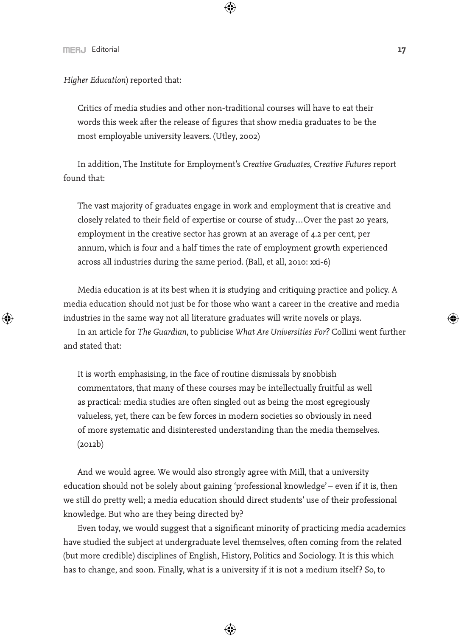*Higher Education*) reported that:

Critics of media studies and other non-traditional courses will have to eat their words this week after the release of figures that show media graduates to be the most employable university leavers. (Utley, 2002)

In addition, The Institute for Employment's *Creative Graduates, Creative Futures* report found that:

The vast majority of graduates engage in work and employment that is creative and closely related to their field of expertise or course of study…Over the past 20 years, employment in the creative sector has grown at an average of 4.2 per cent, per annum, which is four and a half times the rate of employment growth experienced across all industries during the same period. (Ball, et all, 2010: xxi-6)

Media education is at its best when it is studying and critiquing practice and policy. A media education should not just be for those who want a career in the creative and media industries in the same way not all literature graduates will write novels or plays.

In an article for *The Guardian*, to publicise *What Are Universities For?* Collini went further and stated that:

It is worth emphasising, in the face of routine dismissals by snobbish commentators, that many of these courses may be intellectually fruitful as well as practical: media studies are often singled out as being the most egregiously valueless, yet, there can be few forces in modern societies so obviously in need of more systematic and disinterested understanding than the media themselves. (2012b)

And we would agree. We would also strongly agree with Mill, that a university education should not be solely about gaining 'professional knowledge' – even if it is, then we still do pretty well; a media education should direct students' use of their professional knowledge. But who are they being directed by?

Even today, we would suggest that a significant minority of practicing media academics have studied the subject at undergraduate level themselves, often coming from the related (but more credible) disciplines of English, History, Politics and Sociology. It is this which has to change, and soon. Finally, what is a university if it is not a medium itself? So, to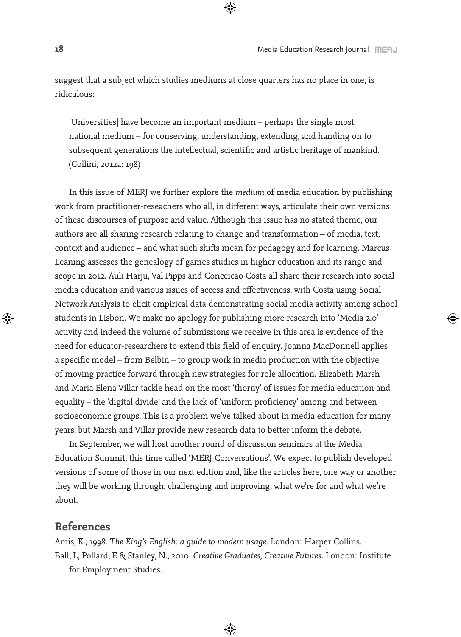suggest that a subject which studies mediums at close quarters has no place in one, is ridiculous:

[Universities] have become an important medium – perhaps the single most national medium – for conserving, understanding, extending, and handing on to subsequent generations the intellectual, scientific and artistic heritage of mankind. (Collini, 2012a: 198)

In this issue of MERJ we further explore the *medium* of media education by publishing work from practitioner-reseachers who all, in different ways, articulate their own versions of these discourses of purpose and value. Although this issue has no stated theme, our authors are all sharing research relating to change and transformation – of media, text, context and audience – and what such shifts mean for pedagogy and for learning. Marcus Leaning assesses the genealogy of games studies in higher education and its range and scope in 2012. Auli Harju, Val Pipps and Conceicao Costa all share their research into social media education and various issues of access and effectiveness, with Costa using Social Network Analysis to elicit empirical data demonstrating social media activity among school students in Lisbon. We make no apology for publishing more research into 'Media 2.0' activity and indeed the volume of submissions we receive in this area is evidence of the need for educator-researchers to extend this field of enquiry. Joanna MacDonnell applies a specific model – from Belbin – to group work in media production with the objective of moving practice forward through new strategies for role allocation. Elizabeth Marsh and Maria Elena Villar tackle head on the most 'thorny' of issues for media education and equality – the 'digital divide' and the lack of 'uniform proficiency' among and between socioeconomic groups. This is a problem we've talked about in media education for many years, but Marsh and Villar provide new research data to better inform the debate.

In September, we will host another round of discussion seminars at the Media Education Summit, this time called 'MERJ Conversations'. We expect to publish developed versions of some of those in our next edition and, like the articles here, one way or another they will be working through, challenging and improving, what we're for and what we're about.

## **References**

Amis, K., 1998. *The King's English: a guide to modern usage*. London: Harper Collins. Ball, L, Pollard, E & Stanley, N., 2010. *Creative Graduates, Creative Futures*. London: Institute for Employment Studies.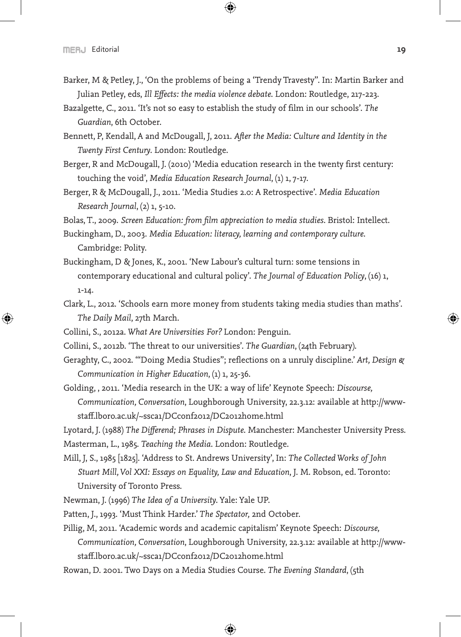- Barker, M & Petley, J., 'On the problems of being a 'Trendy Travesty''. In: Martin Barker and Julian Petley, eds, *Ill Effects: the media violence debate*. London: Routledge, 217-223.
- Bazalgette, C., 2011. 'It's not so easy to establish the study of film in our schools'. *The Guardian*, 6th October.
- Bennett, P, Kendall, A and McDougall, J, 2011. *After the Media: Culture and Identity in the Twenty First Century*. London: Routledge.
- Berger, R and McDougall, J. (2010) 'Media education research in the twenty first century: touching the void', *Media Education Research Journal*, (1) 1, 7-17.
- Berger, R & McDougall, J., 2011. 'Media Studies 2.0: A Retrospective'. *Media Education Research Journal*, (2) 1, 5-10.

Bolas, T., 2009. *Screen Education: from film appreciation to media studies*. Bristol: Intellect.

- Buckingham, D., 2003. *Media Education: literacy, learning and contemporary culture*. Cambridge: Polity.
- Buckingham, D & Jones, K., 2001. 'New Labour's cultural turn: some tensions in contemporary educational and cultural policy'. *The Journal of Education Policy*, (16) 1, 1-14.
- Clark, L., 2012. 'Schools earn more money from students taking media studies than maths'. *The Daily Mail*, 27th March.
- Collini, S., 2012a. *What Are Universities For?* London: Penguin.
- Collini, S., 2012b. 'The threat to our universities'. *The Guardian*, (24th February).
- Geraghty, C., 2002. '''Doing Media Studies"; reflections on a unruly discipline.' *Art, Design & Communication in Higher Education*, (1) 1, 25-36.
- Golding, , 2011. 'Media research in the UK: a way of life' Keynote Speech: *Discourse, Communication, Conversation*, Loughborough University, 22.3.12: available at http://wwwstaff.lboro.ac.uk/~ssca1/DCconf2012/DC2012home.html

Lyotard, J. (1988) *The Differend; Phrases in Dispute*. Manchester: Manchester University Press.

Masterman, L., 1985. *Teaching the Media*. London: Routledge.

- Mill, J, S., 1985 [1825]. 'Address to St. Andrews University', In: *The Collected Works of John Stuart Mill, Vol XXI: Essays on Equality, Law and Education*, J. M. Robson, ed. Toronto: University of Toronto Press.
- Newman, J. (1996) *The Idea of a University*. Yale: Yale UP.
- Patten, J., 1993. 'Must Think Harder.' *The Spectator,* 2nd October.
- Pillig, M, 2011. 'Academic words and academic capitalism' Keynote Speech: *Discourse, Communication, Conversation*, Loughborough University, 22.3.12: available at http://wwwstaff.lboro.ac.uk/~ssca1/DCconf2012/DC2012home.html
- Rowan, D. 2001. Two Days on a Media Studies Course. *The Evening Standard*, (5th